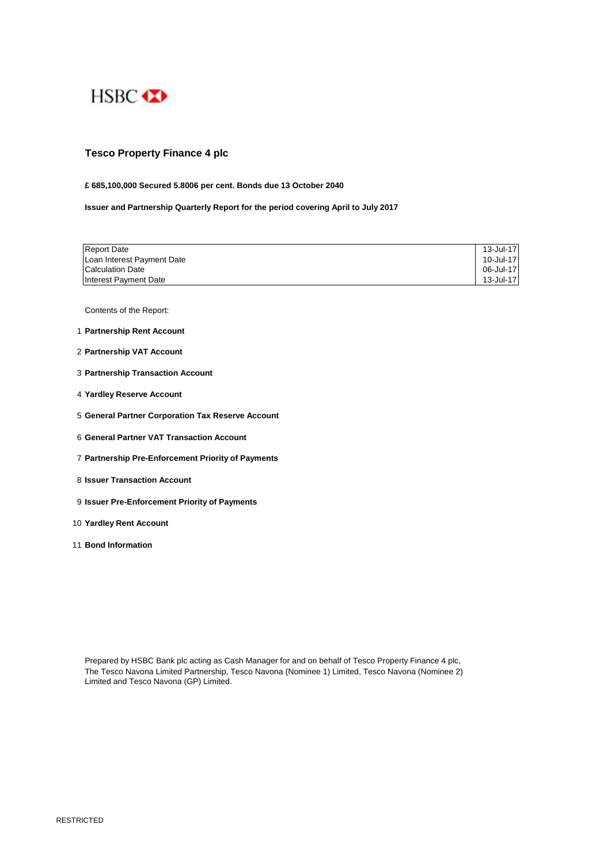

# **Tesco Property Finance 4 plc**

### **£ 685,100,000 Secured 5.8006 per cent. Bonds due 13 October 2040**

**Issuer and Partnership Quarterly Report for the period covering April to July 2017**

| <b>Report Date</b>         | 13-Jul-17 |
|----------------------------|-----------|
| Loan Interest Payment Date | 10-Jul-17 |
| <b>Calculation Date</b>    | 06-Jul-17 |
| Interest Payment Date      | 13-Jul-17 |

Contents of the Report:

- 1 **Partnership Rent Account**
- 2 **Partnership VAT Account**
- 3 **Partnership Transaction Account**
- 4 **Yardley Reserve Account**
- 5 **General Partner Corporation Tax Reserve Account**
- 6 **General Partner VAT Transaction Account**
- 7 **Partnership Pre-Enforcement Priority of Payments**
- 8 **Issuer Transaction Account**
- 9 **Issuer Pre-Enforcement Priority of Payments**
- 10 **Yardley Rent Account**
- 11 **Bond Information**

Prepared by HSBC Bank plc acting as Cash Manager for and on behalf of Tesco Property Finance 4 plc, The Tesco Navona Limited Partnership, Tesco Navona (Nominee 1) Limited, Tesco Navona (Nominee 2) Limited and Tesco Navona (GP) Limited.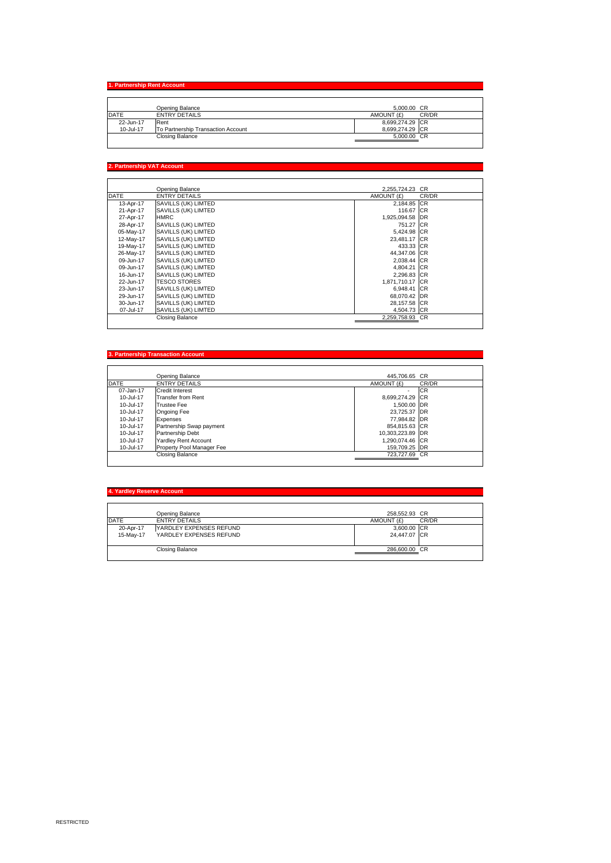**1. Partnership Rent Account**  Opening Balance 5,000.00 CR<br>
22-Jun-17 Rent CR/DR<br>
10-Jul-17 To Partnership Transaction Account 8,699,274.29 CR<br>
21-Jul-17 To Partnership Transaction Account<br>
Closing Balance 5,000.00 CR

# **2. Partnership VAT Account**

|             | Opening Balance        | 2.255.724.23 CR |       |
|-------------|------------------------|-----------------|-------|
| <b>DATE</b> | <b>ENTRY DETAILS</b>   | AMOUNT (£)      | CR/DR |
| 13-Apr-17   | SAVILLS (UK) LIMTED    | 2,184.85 CR     |       |
| 21-Apr-17   | SAVILLS (UK) LIMTED    | 116.67 ICR      |       |
| 27-Apr-17   | <b>HMRC</b>            | 1,925,094.58 DR |       |
| 28-Apr-17   | SAVILLS (UK) LIMTED    | 751.27 CR       |       |
| 05-May-17   | SAVILLS (UK) LIMTED    | 5.424.98 CR     |       |
| 12-May-17   | SAVILLS (UK) LIMTED    | 23,481.17 CR    |       |
| 19-May-17   | SAVILLS (UK) LIMTED    | 433.33 CR       |       |
| 26-May-17   | SAVILLS (UK) LIMTED    | 44,347.06 CR    |       |
| 09-Jun-17   | SAVILLS (UK) LIMTED    | 2,038.44 CR     |       |
| 09-Jun-17   | SAVILLS (UK) LIMTED    | 4,804.21 CR     |       |
| 16-Jun-17   | SAVILLS (UK) LIMTED    | 2,296.83 CR     |       |
| 22-Jun-17   | <b>TESCO STORES</b>    | 1,871,710.17 CR |       |
| 23-Jun-17   | SAVILLS (UK) LIMTED    | 6,948.41 CR     |       |
| 29-Jun-17   | SAVILLS (UK) LIMTED    | 68,070.42 DR    |       |
| 30-Jun-17   | SAVILLS (UK) LIMTED    | 28,157.58 CR    |       |
| 07-Jul-17   | SAVILLS (UK) LIMTED    | 4,504.73 CR     |       |
|             | <b>Closing Balance</b> | 2,259,758.93 CR |       |
|             |                        |                 |       |

### **3. Partnership Transaction Account**

|               | Opening Balance             | 445,706.65 CR            |           |
|---------------|-----------------------------|--------------------------|-----------|
| <b>DATE</b>   | <b>ENTRY DETAILS</b>        | AMOUNT (£)               | CR/DR     |
| 07-Jan-17     | <b>Credit Interest</b>      | $\overline{\phantom{a}}$ | <b>CR</b> |
| 10-Jul-17     | <b>Transfer from Rent</b>   | 8.699.274.29 CR          |           |
| 10-Jul-17     | <b>Trustee Fee</b>          | 1,500.00 DR              |           |
| $10 -$ Jul-17 | Ongoing Fee                 | 23.725.37 DR             |           |
| 10-Jul-17     | Expenses                    | 77,984.82 DR             |           |
| 10-Jul-17     | Partnership Swap payment    | 854,815,63 CR            |           |
| 10-Jul-17     | Partnership Debt            | 10,303,223.89 DR         |           |
| 10-Jul-17     | <b>Yardley Rent Account</b> | 1.290.074.46 CR          |           |
| 10-Jul-17     | Property Pool Manager Fee   | 159.709.25 DR            |           |
|               | Closing Balance             | 723,727.69 CR            |           |

| 4. Yardley Reserve Account |                         |               |       |
|----------------------------|-------------------------|---------------|-------|
|                            | Opening Balance         | 258.552.93 CR |       |
| <b>DATE</b>                | <b>ENTRY DETAILS</b>    | AMOUNT (£)    | CR/DR |
| 20-Apr-17                  | YARDLEY EXPENSES REFUND | 3,600.00 CR   |       |
| 15-May-17                  | YARDLEY EXPENSES REFUND | 24.447.07 CR  |       |
|                            | Closing Balance         | 286,600.00 CR |       |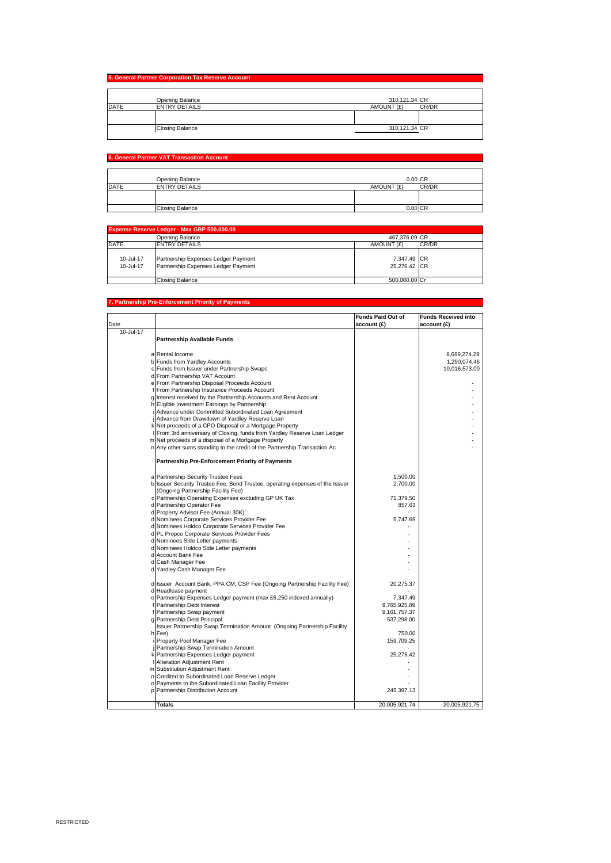|                                     | 5. General Partner Corporation Tax Reserve Account |               |
|-------------------------------------|----------------------------------------------------|---------------|
|                                     | Opening Balance                                    | 310,121.34 CR |
| <b>DATE</b><br><b>ENTRY DETAILS</b> | AMOUNT (£)<br>CR/DR                                |               |
|                                     |                                                    |               |
|                                     | <b>Closing Balance</b>                             | 310,121.34 CR |

## **6. General Partner VAT Transaction Account**

|      | Opening Balance        | 0.00 CR             |  |
|------|------------------------|---------------------|--|
| DATE | <b>ENTRY DETAILS</b>   | CR/DR<br>AMOUNT (£) |  |
|      |                        |                     |  |
|      |                        |                     |  |
|      | <b>Closing Balance</b> | $0.00$ CR           |  |

| Expense Reserve Ledger - Max GBP 500,000.00 |                                                                            |                             |       |
|---------------------------------------------|----------------------------------------------------------------------------|-----------------------------|-------|
|                                             | Opening Balance                                                            | 467.376.09 CR               |       |
| <b>DATE</b>                                 | <b>ENTRY DETAILS</b>                                                       | AMOUNT (£)                  | CR/DR |
| 10-Jul-17<br>10-Jul-17                      | Partnership Expenses Ledger Payment<br>Partnership Expenses Ledger Payment | 7,347.49 CR<br>25.276.42 CR |       |
|                                             | Closing Balance                                                            | 500.000.00 Cr               |       |

#### **7. Partnership Pre-Enforcement Priority**

|           |                                                                                                  | <b>Funds Paid Out of</b> | <b>Funds Received into</b> |
|-----------|--------------------------------------------------------------------------------------------------|--------------------------|----------------------------|
| Date      |                                                                                                  | account (£)              | account (£)                |
| 10-Jul-17 |                                                                                                  |                          |                            |
|           | <b>Partnership Available Funds</b>                                                               |                          |                            |
|           |                                                                                                  |                          |                            |
|           | a Rental Income                                                                                  |                          | 8,699,274.29               |
|           | b Funds from Yardley Accounts                                                                    |                          | 1,290,074.46               |
|           | c Funds from Issuer under Partnership Swaps                                                      |                          | 10,016,573.00              |
|           | d From Partnership VAT Account                                                                   |                          |                            |
|           | e From Partnership Disposal Proceeds Account                                                     |                          |                            |
|           | From Partnership Insurance Proceeds Account                                                      |                          |                            |
|           | g Interest received by the Partnership Accounts and Rent Account                                 |                          |                            |
|           | h Eligible Investment Earnings by Partnership                                                    |                          |                            |
|           | Advance under Committed Subordinated Loan Agreement                                              |                          |                            |
|           | j Advance from Drawdown of Yardley Reserve Loan                                                  |                          |                            |
|           | k Net proceeds of a CPO Disposal or a Mortgage Property                                          |                          |                            |
|           | From 3rd anniversary of Closing, funds from Yardley Reserve Loan Ledger                          |                          |                            |
|           | m Net proceeds of a disposal of a Mortgage Property                                              |                          |                            |
|           | n Any other sums standing to the credit of the Partnership Transaction Ac                        |                          |                            |
|           | Partnership Pre-Enforcement Priority of Payments                                                 |                          |                            |
|           |                                                                                                  |                          |                            |
|           | a Partnership Security Trustee Fees                                                              | 1,500.00                 |                            |
|           | b Issuer Security Trustee Fee, Bond Trustee, operating expenses of the Issuer                    | 2.700.00                 |                            |
|           | (Ongoing Partnership Facility Fee)                                                               |                          |                            |
|           | c Partnership Operating Expenses excluding GP UK Tax                                             | 71,379.50                |                            |
|           | d Partnership Operator Fee                                                                       | 857.63                   |                            |
|           | d Property Advisor Fee (Annual 30K)                                                              |                          |                            |
|           | d Nominees Corporate Services Provider Fee                                                       | 5,747.69                 |                            |
|           | d Nominees Holdco Corporate Services Provider Fee                                                |                          |                            |
|           | d PL Propco Corporate Services Provider Fees                                                     |                          |                            |
|           | d Nominees Side Letter payments                                                                  |                          |                            |
|           | d Nominees Holdco Side Letter payments                                                           |                          |                            |
|           | d Account Bank Fee                                                                               |                          |                            |
|           | d Cash Manager Fee                                                                               |                          |                            |
|           | d Yardley Cash Manager Fee                                                                       |                          |                            |
|           |                                                                                                  | 20,275.37                |                            |
|           | d Issuer Account Bank, PPA CM, CSP Fee (Ongoing Partnership Facility Fee)<br>d Headlease payment |                          |                            |
|           | e Partnership Expenses Ledger payment (max £6,250 indexed annually)                              | 7,347.49                 |                            |
|           | Partnership Debt Interest                                                                        | 9,765,925.89             |                            |
|           | Partnership Swap payment                                                                         | 9,161,757.37             |                            |
|           | g Partnership Debt Principal                                                                     | 537,298.00               |                            |
|           | Issuer Partnership Swap Termination Amount (Ongoing Partnership Facility                         |                          |                            |
|           | h Fee)                                                                                           | 750.00                   |                            |
|           | Property Pool Manager Fee                                                                        | 159,709.25               |                            |
|           | Partnership Swap Termination Amount                                                              |                          |                            |
|           | k Partnership Expenses Ledger payment                                                            | 25.276.42                |                            |
|           | Alteration Adjustment Rent                                                                       |                          |                            |
|           | m Substitution Adjustment Rent                                                                   |                          |                            |
|           | n Credited to Subordinated Loan Reserve Ledger                                                   |                          |                            |
|           | o Payments to the Subordinated Loan Facility Provider                                            |                          |                            |
|           | p Partnership Distribution Account                                                               | 245,397.13               |                            |
|           |                                                                                                  |                          |                            |
|           | <b>Totals</b>                                                                                    | 20,005,921.74            | 20,005,921.75              |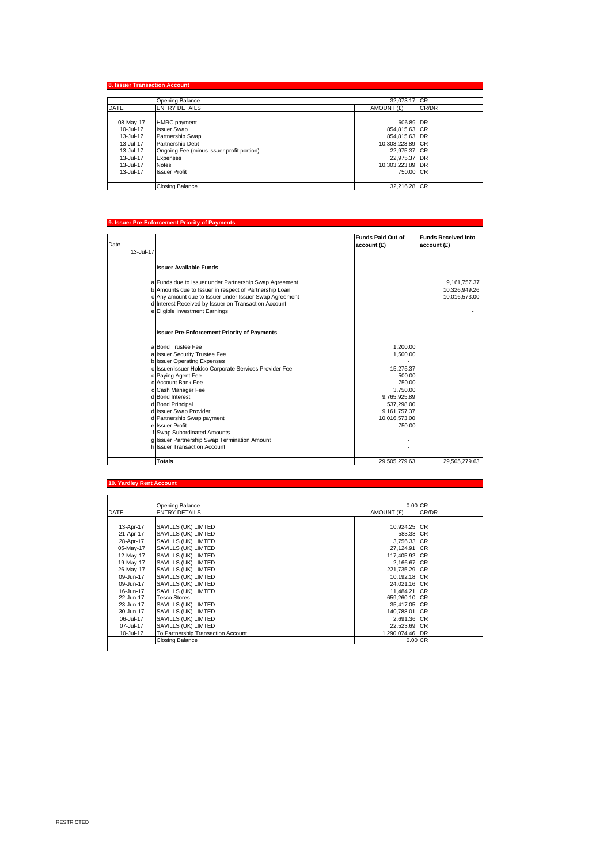|             | Opening Balance                           | 32.073.17 CR     |       |
|-------------|-------------------------------------------|------------------|-------|
| <b>DATE</b> | <b>ENTRY DETAILS</b>                      | AMOUNT (£)       | CR/DR |
| 08-May-17   | <b>HMRC</b> payment                       | 606.89 DR        |       |
| 10-Jul-17   | <b>Issuer Swap</b>                        | 854,815.63 CR    |       |
| 13-Jul-17   | Partnership Swap                          | 854.815.63 DR    |       |
| 13-Jul-17   | Partnership Debt                          | 10,303,223.89 CR |       |
| 13-Jul-17   | Ongoing Fee (minus issuer profit portion) | 22.975.37 CR     |       |
| 13-Jul-17   | Expenses                                  | 22,975.37 DR     |       |
| 13-Jul-17   | <b>Notes</b>                              | 10,303,223.89 DR |       |
| 13-Jul-17   | <b>Issuer Profit</b>                      | 750.00 CR        |       |
|             | Closing Balance                           | 32.216.28 CR     |       |

#### **9. Issuer Pre-Enforcement Priority of**

|           |                                                        | <b>Funds Paid Out of</b> | <b>Funds Received into</b> |
|-----------|--------------------------------------------------------|--------------------------|----------------------------|
| Date      |                                                        | account (£)              | account (£)                |
| 13-Jul-17 |                                                        |                          |                            |
|           | <b>Issuer Available Funds</b>                          |                          |                            |
|           |                                                        |                          |                            |
|           | a Funds due to Issuer under Partnership Swap Agreement |                          | 9,161,757.37               |
|           | b Amounts due to Issuer in respect of Partnership Loan |                          | 10,326,949.26              |
|           | c Any amount due to Issuer under Issuer Swap Agreement |                          | 10,016,573.00              |
|           | d Interest Received by Issuer on Transaction Account   |                          |                            |
|           | e Eligible Investment Earnings                         |                          |                            |
|           |                                                        |                          |                            |
|           | <b>Issuer Pre-Enforcement Priority of Payments</b>     |                          |                            |
|           | a Bond Trustee Fee                                     | 1,200.00                 |                            |
|           | a Issuer Security Trustee Fee                          | 1,500.00                 |                            |
|           | b Issuer Operating Expenses                            |                          |                            |
|           | c Issuer/Issuer Holdco Corporate Services Provider Fee | 15,275.37                |                            |
|           | c Paying Agent Fee                                     | 500.00                   |                            |
|           | clAccount Bank Fee                                     | 750.00                   |                            |
|           | c Cash Manager Fee                                     | 3.750.00                 |                            |
|           | d Bond Interest                                        | 9,765,925.89             |                            |
|           | d Bond Principal                                       | 537,298.00               |                            |
|           | d Issuer Swap Provider                                 | 9,161,757.37             |                            |
|           | d Partnership Swap payment                             | 10,016,573.00            |                            |
|           | e Issuer Profit                                        | 750.00                   |                            |
|           | f Swap Subordinated Amounts                            |                          |                            |
|           | g Issuer Partnership Swap Termination Amount           |                          |                            |
|           | h Issuer Transaction Account                           |                          |                            |
|           | <b>Totals</b>                                          | 29,505,279.63            | 29,505,279.63              |

#### **10. Yardley Rent Acc**

|             | Opening Balance                    | $0.00 \, \text{CR}$ |       |
|-------------|------------------------------------|---------------------|-------|
| <b>DATE</b> | <b>ENTRY DETAILS</b>               | AMOUNT (£)          | CR/DR |
|             |                                    |                     |       |
| 13-Apr-17   | SAVILLS (UK) LIMTED                | 10,924.25 CR        |       |
| 21-Apr-17   | SAVILLS (UK) LIMTED                | 583.33 CR           |       |
| 28-Apr-17   | SAVILLS (UK) LIMTED                | 3,756.33 CR         |       |
| 05-May-17   | SAVILLS (UK) LIMTED                | 27,124.91 CR        |       |
| 12-May-17   | SAVILLS (UK) LIMTED                | 117.405.92 ICR      |       |
| 19-May-17   | SAVILLS (UK) LIMTED                | 2.166.67 CR         |       |
| 26-May-17   | SAVILLS (UK) LIMTED                | 221,735.29 CR       |       |
| 09-Jun-17   | SAVILLS (UK) LIMTED                | 10,192.18 CR        |       |
| 09-Jun-17   | SAVILLS (UK) LIMTED                | 24,021.16 CR        |       |
| 16-Jun-17   | SAVILLS (UK) LIMTED                | 11.484.21 CR        |       |
| 22-Jun-17   | <b>Tesco Stores</b>                | 659,260.10 CR       |       |
| 23-Jun-17   | SAVILLS (UK) LIMTED                | 35,417.05 CR        |       |
| 30-Jun-17   | SAVILLS (UK) LIMTED                | 140,788.01 CR       |       |
| 06-Jul-17   | SAVILLS (UK) LIMTED                | 2.691.36 CR         |       |
| 07-Jul-17   | SAVILLS (UK) LIMTED                | 22.523.69 CR        |       |
| 10-Jul-17   | To Partnership Transaction Account | 1,290,074.46 DR     |       |
|             | Closing Balance                    | $0.00$ CR           |       |